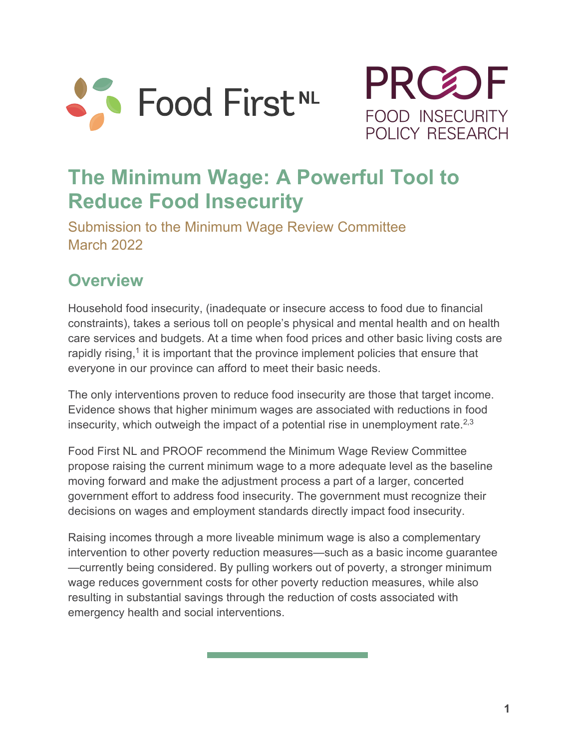



# **The Minimum Wage: A Powerful Tool to Reduce Food Insecurity**

Submission to the Minimum Wage Review Committee March 2022

### **Overview**

Household food insecurity, (inadequate or insecure access to food due to financial constraints), takes a serious toll on people's physical and mental health and on health care services and budgets. At a time when food prices and other basic living costs are rapidly rising, $<sup>1</sup>$  it is important that the province implement policies that ensure that</sup> everyone in our province can afford to meet their basic needs.

The only interventions proven to reduce food insecurity are those that target income. Evidence shows that higher minimum wages are associated with reductions in food insecurity, which outweigh the impact of a potential rise in unemployment rate. $^{2,3}$ 

Food First NL and PROOF recommend the Minimum Wage Review Committee propose raising the current minimum wage to a more adequate level as the baseline moving forward and make the adjustment process a part of a larger, concerted government effort to address food insecurity. The government must recognize their decisions on wages and employment standards directly impact food insecurity.

Raising incomes through a more liveable minimum wage is also a complementary intervention to other poverty reduction measures—such as a basic income guarantee —currently being considered. By pulling workers out of poverty, a stronger minimum wage reduces government costs for other poverty reduction measures, while also resulting in substantial savings through the reduction of costs associated with emergency health and social interventions.

a sa kacamatan ing Kabupatèn Kabupatèn Kabupatèn Kabupatèn Kabupatèn Kabupatèn Kabupatèn Kabupatèn Kabupatèn K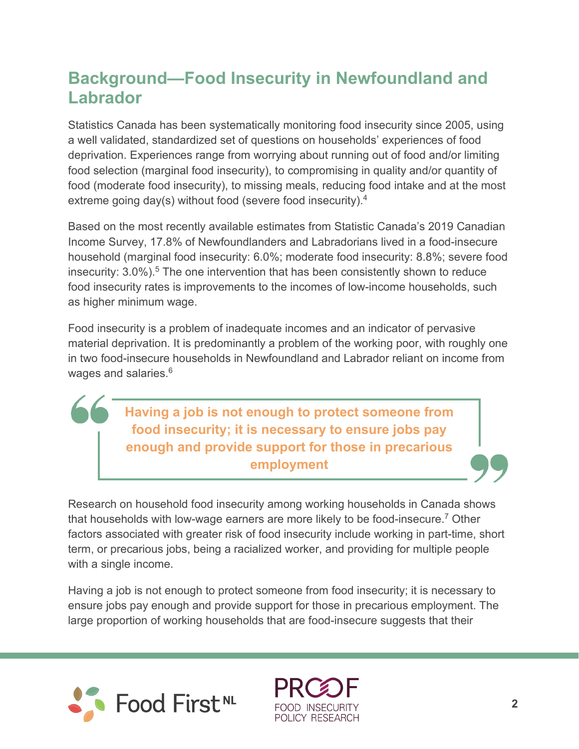### **Background—Food Insecurity in Newfoundland and Labrador**

Statistics Canada has been systematically monitoring food insecurity since 2005, using a well validated, standardized set of questions on households' experiences of food deprivation. Experiences range from worrying about running out of food and/or limiting food selection (marginal food insecurity), to compromising in quality and/or quantity of food (moderate food insecurity), to missing meals, reducing food intake and at the most extreme going day(s) without food (severe food insecurity). $^4$ 

Based on the most recently available estimates from Statistic Canada's 2019 Canadian Income Survey, 17.8% of Newfoundlanders and Labradorians lived in a food-insecure household (marginal food insecurity: 6.0%; moderate food insecurity: 8.8%; severe food insecurity:  $3.0\%$ ).<sup>5</sup> The one intervention that has been consistently shown to reduce food insecurity rates is improvements to the incomes of low-income households, such as higher minimum wage.

Food insecurity is a problem of inadequate incomes and an indicator of pervasive material deprivation. It is predominantly a problem of the working poor, with roughly one in two food-insecure households in Newfoundland and Labrador reliant on income from wages and salaries.<sup>6</sup>

> **Having a job is not enough to protect someone from food insecurity; it is necessary to ensure jobs pay enough and provide support for those in precarious employment**

Research on household food insecurity among working households in Canada shows that households with low-wage earners are more likely to be food-insecure.<sup>7</sup> Other factors associated with greater risk of food insecurity include working in part-time, short term, or precarious jobs, being a racialized worker, and providing for multiple people with a single income.

Having a job is not enough to protect someone from food insecurity; it is necessary to ensure jobs pay enough and provide support for those in precarious employment. The large proportion of working households that are food-insecure suggests that their



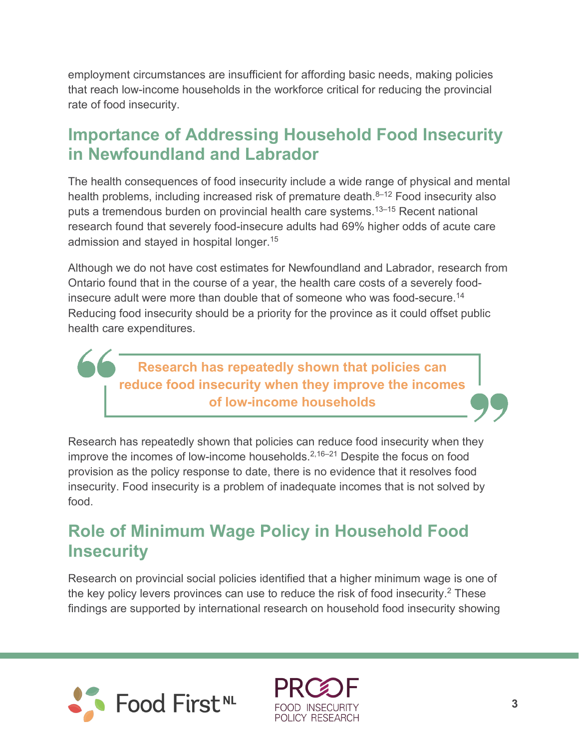employment circumstances are insufficient for affording basic needs, making policies that reach low-income households in the workforce critical for reducing the provincial rate of food insecurity.

### **Importance of Addressing Household Food Insecurity in Newfoundland and Labrador**

The health consequences of food insecurity include a wide range of physical and mental health problems, including increased risk of premature death. $8-12$  Food insecurity also puts a tremendous burden on provincial health care systems.13–15 Recent national research found that severely food-insecure adults had 69% higher odds of acute care admission and stayed in hospital longer.<sup>15</sup>

Although we do not have cost estimates for Newfoundland and Labrador, research from Ontario found that in the course of a year, the health care costs of a severely foodinsecure adult were more than double that of someone who was food-secure.14 Reducing food insecurity should be a priority for the province as it could offset public health care expenditures.

**Research has repeatedly shown that policies can reduce food insecurity when they improve the incomes of low-income households**

Research has repeatedly shown that policies can reduce food insecurity when they improve the incomes of low-income households.2,16–21 Despite the focus on food provision as the policy response to date, there is no evidence that it resolves food insecurity. Food insecurity is a problem of inadequate incomes that is not solved by food.

### **Role of Minimum Wage Policy in Household Food Insecurity**

Research on provincial social policies identified that a higher minimum wage is one of the key policy levers provinces can use to reduce the risk of food insecurity.2 These findings are supported by international research on household food insecurity showing



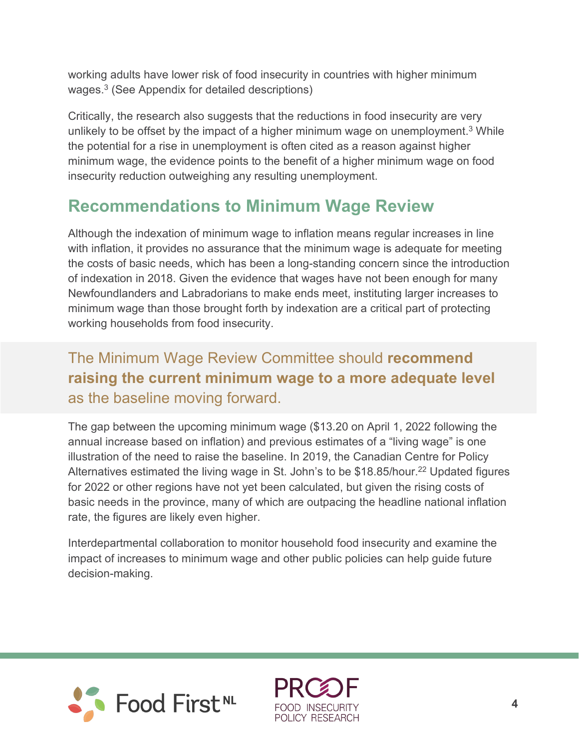working adults have lower risk of food insecurity in countries with higher minimum wages.3 (See Appendix for detailed descriptions)

Critically, the research also suggests that the reductions in food insecurity are very unlikely to be offset by the impact of a higher minimum wage on unemployment.<sup>3</sup> While the potential for a rise in unemployment is often cited as a reason against higher minimum wage, the evidence points to the benefit of a higher minimum wage on food insecurity reduction outweighing any resulting unemployment.

### **Recommendations to Minimum Wage Review**

Although the indexation of minimum wage to inflation means regular increases in line with inflation, it provides no assurance that the minimum wage is adequate for meeting the costs of basic needs, which has been a long-standing concern since the introduction of indexation in 2018. Given the evidence that wages have not been enough for many Newfoundlanders and Labradorians to make ends meet, instituting larger increases to minimum wage than those brought forth by indexation are a critical part of protecting working households from food insecurity.

#### The Minimum Wage Review Committee should **recommend raising the current minimum wage to a more adequate level** as the baseline moving forward.

The gap between the upcoming minimum wage (\$13.20 on April 1, 2022 following the annual increase based on inflation) and previous estimates of a "living wage" is one illustration of the need to raise the baseline. In 2019, the Canadian Centre for Policy Alternatives estimated the living wage in St. John's to be \$18.85/hour.<sup>22</sup> Updated figures for 2022 or other regions have not yet been calculated, but given the rising costs of basic needs in the province, many of which are outpacing the headline national inflation rate, the figures are likely even higher.

Interdepartmental collaboration to monitor household food insecurity and examine the impact of increases to minimum wage and other public policies can help guide future decision-making.



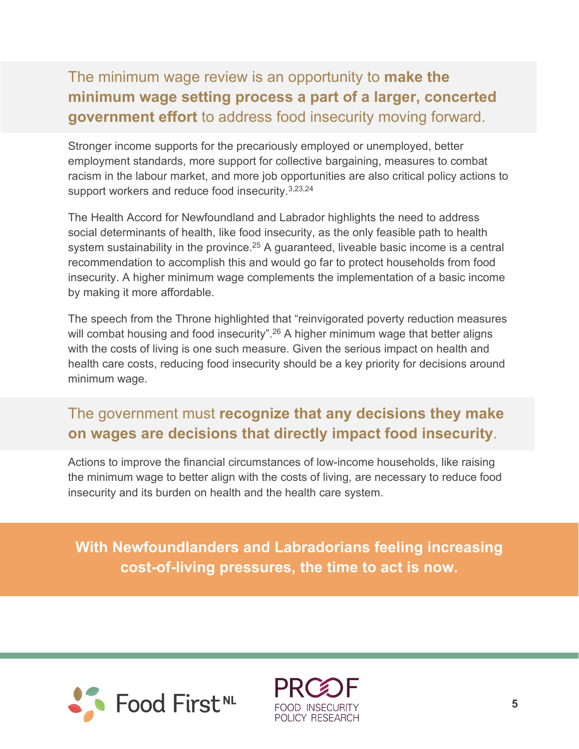#### The minimum wage review is an opportunity to **make the minimum wage setting process a part of a larger, concerted government effort** to address food insecurity moving forward.

Stronger income supports for the precariously employed or unemployed, better employment standards, more support for collective bargaining, measures to combat racism in the labour market, and more job opportunities are also critical policy actions to support workers and reduce food insecurity.<sup>3,23,24</sup>

The Health Accord for Newfoundland and Labrador highlights the need to address social determinants of health, like food insecurity, as the only feasible path to health system sustainability in the province.<sup>25</sup> A guaranteed, liveable basic income is a central recommendation to accomplish this and would go far to protect households from food insecurity. A higher minimum wage complements the implementation of a basic income by making it more affordable.

The speech from the Throne highlighted that "reinvigorated poverty reduction measures will combat housing and food insecurity".<sup>26</sup> A higher minimum wage that better aligns with the costs of living is one such measure. Given the serious impact on health and health care costs, reducing food insecurity should be a key priority for decisions around minimum wage.

#### The government must **recognize that any decisions they make on wages are decisions that directly impact food insecurity**.

Actions to improve the financial circumstances of low-income households, like raising the minimum wage to better align with the costs of living, are necessary to reduce food insecurity and its burden on health and the health care system.

**With Newfoundlanders and Labradorians feeling increasing cost-of-living pressures, the time to act is now.**



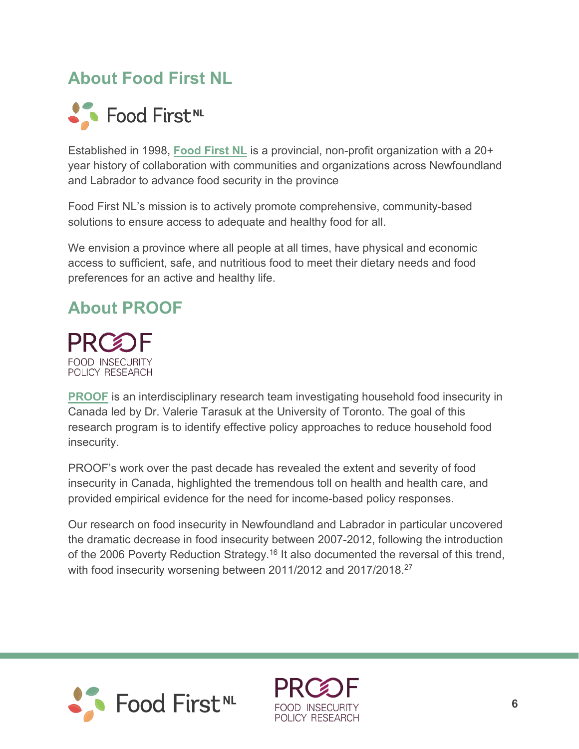### **About Food First NL**



Established in 1998, **[Food First NL](https://www.foodfirstnl.ca/)** is a provincial, non-profit organization with a 20+ year history of collaboration with communities and organizations across Newfoundland and Labrador to advance food security in the province

Food First NL's mission is to actively promote comprehensive, community-based solutions to ensure access to adequate and healthy food for all.

We envision a province where all people at all times, have physical and economic access to sufficient, safe, and nutritious food to meet their dietary needs and food preferences for an active and healthy life.

# **About PROOF**

**PRCOF FOOD INSECURITY** POLICY RESEARCH

**[PROOF](https://proof.utoronto.ca/)** is an interdisciplinary research team investigating household food insecurity in Canada led by Dr. Valerie Tarasuk at the University of Toronto. The goal of this research program is to identify effective policy approaches to reduce household food insecurity.

PROOF's work over the past decade has revealed the extent and severity of food insecurity in Canada, highlighted the tremendous toll on health and health care, and provided empirical evidence for the need for income-based policy responses.

Our research on food insecurity in Newfoundland and Labrador in particular uncovered the dramatic decrease in food insecurity between 2007-2012, following the introduction of the 2006 Poverty Reduction Strategy.<sup>16</sup> It also documented the reversal of this trend, with food insecurity worsening between 2011/2012 and 2017/2018.<sup>27</sup>



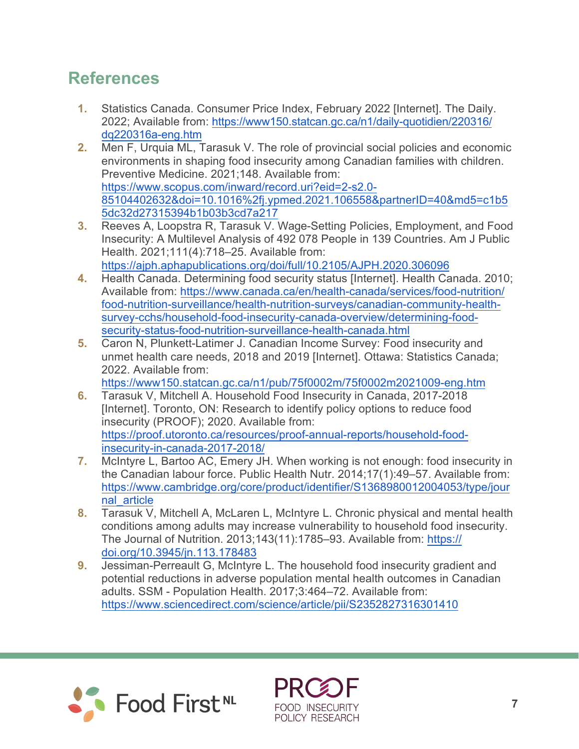## **References**

- **1.** Statistics Canada. Consumer Price Index, February 2022 [Internet]. The Daily. 2022; Available from: [https://www150.statcan.gc.ca/n1/daily-quotidien/220316/](https://www150.statcan.gc.ca/n1/daily-quotidien/220216/dq220216a-eng.htm) [dq220316a-eng.htm](https://www150.statcan.gc.ca/n1/daily-quotidien/220216/dq220216a-eng.htm)
- **2.** Men F, Urquia ML, Tarasuk V. The role of provincial social policies and economic environments in shaping food insecurity among Canadian families with children. Preventive Medicine. 2021;148. Available from: [https://www.scopus.com/inward/record.uri?eid=2-s2.0-](https://www.scopus.com/inward/record.uri?eid=2-s2.0-85104402632&doi=10.1016%2fj.ypmed.2021.106558&partnerID=40&md5=c1b55dc32d27315394b1b03b3cd7a217) [85104402632&doi=10.1016%2fj.ypmed.2021.106558&partnerID=40&md5=c1b5](https://www.scopus.com/inward/record.uri?eid=2-s2.0-85104402632&doi=10.1016%2fj.ypmed.2021.106558&partnerID=40&md5=c1b55dc32d27315394b1b03b3cd7a217) [5dc32d27315394b1b03b3cd7a217](https://www.scopus.com/inward/record.uri?eid=2-s2.0-85104402632&doi=10.1016%2fj.ypmed.2021.106558&partnerID=40&md5=c1b55dc32d27315394b1b03b3cd7a217)
- **3.** Reeves A, Loopstra R, Tarasuk V. Wage-Setting Policies, Employment, and Food Insecurity: A Multilevel Analysis of 492 078 People in 139 Countries. Am J Public Health. 2021;111(4):718–25. Available from: <https://ajph.aphapublications.org/doi/full/10.2105/AJPH.2020.306096>
- **4.** Health Canada. Determining food security status [Internet]. Health Canada. 2010; Available from: [https://www.canada.ca/en/health-canada/services/food-nutrition/](https://www.canada.ca/en/health-canada/services/food-nutrition/food-nutrition-surveillance/health-nutrition-surveys/canadian-community-health-survey-cchs/household-food-insecurity-canada-overview/determining-food-security-status-food-nutrition-surveillance-health-canada.html) [food-nutrition-surveillance/health-nutrition-surveys/canadian-community-health](https://www.canada.ca/en/health-canada/services/food-nutrition/food-nutrition-surveillance/health-nutrition-surveys/canadian-community-health-survey-cchs/household-food-insecurity-canada-overview/determining-food-security-status-food-nutrition-surveillance-health-canada.html)[survey-cchs/household-food-insecurity-canada-overview/determining-food](https://www.canada.ca/en/health-canada/services/food-nutrition/food-nutrition-surveillance/health-nutrition-surveys/canadian-community-health-survey-cchs/household-food-insecurity-canada-overview/determining-food-security-status-food-nutrition-surveillance-health-canada.html)[security-status-food-nutrition-surveillance-health-canada.html](https://www.canada.ca/en/health-canada/services/food-nutrition/food-nutrition-surveillance/health-nutrition-surveys/canadian-community-health-survey-cchs/household-food-insecurity-canada-overview/determining-food-security-status-food-nutrition-surveillance-health-canada.html)
- **5.** Caron N, Plunkett-Latimer J. Canadian Income Survey: Food insecurity and unmet health care needs, 2018 and 2019 [Internet]. Ottawa: Statistics Canada; 2022. Available from:

<https://www150.statcan.gc.ca/n1/pub/75f0002m/75f0002m2021009-eng.htm>

- **6.** Tarasuk V, Mitchell A. Household Food Insecurity in Canada, 2017-2018 [Internet]. Toronto, ON: Research to identify policy options to reduce food insecurity (PROOF); 2020. Available from: [https://proof.utoronto.ca/resources/proof-annual-reports/household-food](https://proof.utoronto.ca/resources/proof-annual-reports/household-food-insecurity-in-canada-2017-2018/)[insecurity-in-canada-2017-2018/](https://proof.utoronto.ca/resources/proof-annual-reports/household-food-insecurity-in-canada-2017-2018/)
- **7.** McIntyre L, Bartoo AC, Emery JH. When working is not enough: food insecurity in the Canadian labour force. Public Health Nutr. 2014;17(1):49–57. Available from: [https://www.cambridge.org/core/product/identifier/S1368980012004053/type/jour](https://www.cambridge.org/core/product/identifier/S1368980012004053/type/journal_article) [nal\\_article](https://www.cambridge.org/core/product/identifier/S1368980012004053/type/journal_article)
- **8.** Tarasuk V, Mitchell A, McLaren L, McIntyre L. Chronic physical and mental health conditions among adults may increase vulnerability to household food insecurity. The Journal of Nutrition. 2013;143(11):1785–93. Available from: https:// [doi.org/10.3945/jn.113.178483](https://doi.org/10.3945/jn.113.178483)
- **9.** Jessiman-Perreault G, McIntyre L. The household food insecurity gradient and potential reductions in adverse population mental health outcomes in Canadian adults. SSM - Population Health. 2017;3:464–72. Available from: <https://www.sciencedirect.com/science/article/pii/S2352827316301410>



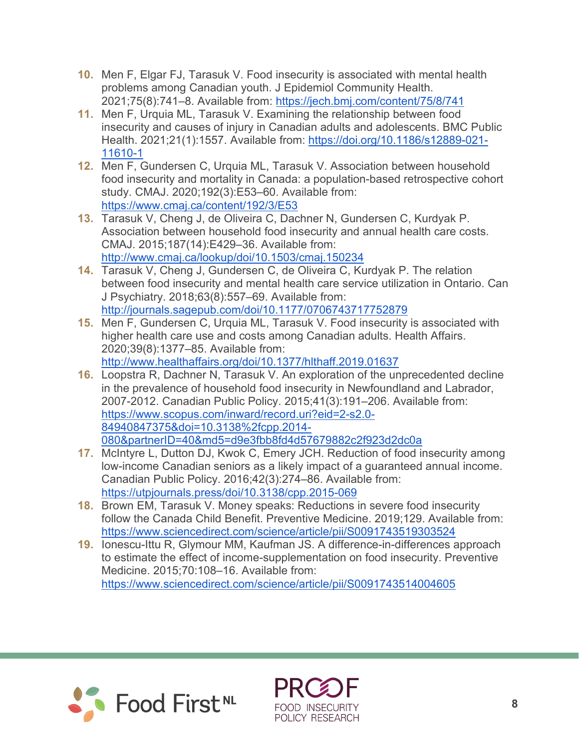- **10.** Men F, Elgar FJ, Tarasuk V. Food insecurity is associated with mental health problems among Canadian youth. J Epidemiol Community Health. 2021;75(8):741–8. Available from:<https://jech.bmj.com/content/75/8/741>
- **11.** Men F, Urquia ML, Tarasuk V. Examining the relationship between food insecurity and causes of injury in Canadian adults and adolescents. BMC Public Health. 2021;21(1):1557. Available from: [https://doi.org/10.1186/s12889-021-](https://doi.org/10.1186/s12889-021-11610-1) [11610-1](https://doi.org/10.1186/s12889-021-11610-1)
- **12.** Men F, Gundersen C, Urquia ML, Tarasuk V. Association between household food insecurity and mortality in Canada: a population-based retrospective cohort study. CMAJ. 2020;192(3):E53–60. Available from: <https://www.cmaj.ca/content/192/3/E53>
- **13.** Tarasuk V, Cheng J, de Oliveira C, Dachner N, Gundersen C, Kurdyak P. Association between household food insecurity and annual health care costs. CMAJ. 2015;187(14):E429–36. Available from: <http://www.cmaj.ca/lookup/doi/10.1503/cmaj.150234>
- **14.** Tarasuk V, Cheng J, Gundersen C, de Oliveira C, Kurdyak P. The relation between food insecurity and mental health care service utilization in Ontario. Can J Psychiatry. 2018;63(8):557–69. Available from: <http://journals.sagepub.com/doi/10.1177/0706743717752879>
- **15.** Men F, Gundersen C, Urquia ML, Tarasuk V. Food insecurity is associated with higher health care use and costs among Canadian adults. Health Affairs. 2020;39(8):1377–85. Available from: <http://www.healthaffairs.org/doi/10.1377/hlthaff.2019.01637>
- **16.** Loopstra R, Dachner N, Tarasuk V. An exploration of the unprecedented decline in the prevalence of household food insecurity in Newfoundland and Labrador, 2007-2012. Canadian Public Policy. 2015;41(3):191–206. Available from: [https://www.scopus.com/inward/record.uri?eid=2-s2.0-](https://www.scopus.com/inward/record.uri?eid=2-s2.0-84940847375&doi=10.3138%2fcpp.2014-080&partnerID=40&md5=d9e3fbb8fd4d57679882c2f923d2dc0a) [84940847375&doi=10.3138%2fcpp.2014-](https://www.scopus.com/inward/record.uri?eid=2-s2.0-84940847375&doi=10.3138%2fcpp.2014-080&partnerID=40&md5=d9e3fbb8fd4d57679882c2f923d2dc0a) [080&partnerID=40&md5=d9e3fbb8fd4d57679882c2f923d2dc0a](https://www.scopus.com/inward/record.uri?eid=2-s2.0-84940847375&doi=10.3138%2fcpp.2014-080&partnerID=40&md5=d9e3fbb8fd4d57679882c2f923d2dc0a)
- **17.** McIntyre L, Dutton DJ, Kwok C, Emery JCH. Reduction of food insecurity among low-income Canadian seniors as a likely impact of a guaranteed annual income. Canadian Public Policy. 2016;42(3):274–86. Available from: <https://utpjournals.press/doi/10.3138/cpp.2015-069>
- **18.** Brown EM, Tarasuk V. Money speaks: Reductions in severe food insecurity follow the Canada Child Benefit. Preventive Medicine. 2019;129. Available from: <https://www.sciencedirect.com/science/article/pii/S0091743519303524>
- **19.** Ionescu-Ittu R, Glymour MM, Kaufman JS. A difference-in-differences approach to estimate the effect of income-supplementation on food insecurity. Preventive Medicine. 2015;70:108–16. Available from: <https://www.sciencedirect.com/science/article/pii/S0091743514004605>



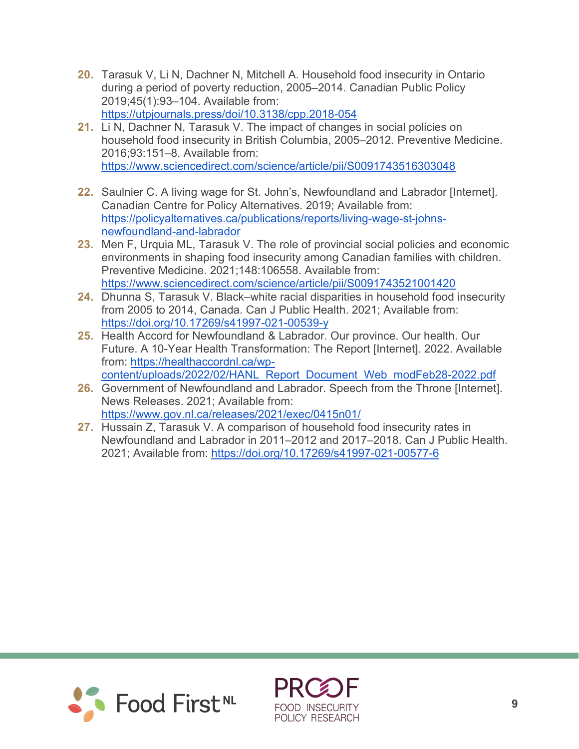- **20.** Tarasuk V, Li N, Dachner N, Mitchell A. Household food insecurity in Ontario during a period of poverty reduction, 2005–2014. Canadian Public Policy 2019;45(1):93–104. Available from: <https://utpjournals.press/doi/10.3138/cpp.2018-054>
- **21.** Li N, Dachner N, Tarasuk V. The impact of changes in social policies on household food insecurity in British Columbia, 2005–2012. Preventive Medicine. 2016;93:151–8. Available from: <https://www.sciencedirect.com/science/article/pii/S0091743516303048>
- **22.** Saulnier C. A living wage for St. John's, Newfoundland and Labrador [Internet]. Canadian Centre for Policy Alternatives. 2019; Available from: [https://policyalternatives.ca/publications/reports/living-wage-st-johns](https://policyalternatives.ca/publications/reports/living-wage-st-johns-newfoundland-and-labrador)[newfoundland-and-labrador](https://policyalternatives.ca/publications/reports/living-wage-st-johns-newfoundland-and-labrador)
- **23.** Men F, Urquia ML, Tarasuk V. The role of provincial social policies and economic environments in shaping food insecurity among Canadian families with children. Preventive Medicine. 2021;148:106558. Available from: <https://www.sciencedirect.com/science/article/pii/S0091743521001420>
- **24.** Dhunna S, Tarasuk V. Black–white racial disparities in household food insecurity from 2005 to 2014, Canada. Can J Public Health. 2021; Available from: <https://doi.org/10.17269/s41997-021-00539-y>
- **25.** Health Accord for Newfoundland & Labrador. Our province. Our health. Our Future. A 10-Year Health Transformation: The Report [Internet]. 2022. Available from: [https://healthaccordnl.ca/wp](https://healthaccordnl.ca/wp-content/uploads/2022/02/HANL_Report_Document_Web_modFeb28-2022.pdf)content/uploads/2022/02/HANL\_Report\_Document\_Web\_modFeb28-2022.pdf
- **26.** Government of Newfoundland and Labrador. Speech from the Throne [Internet]. News Releases. 2021; Available from: <https://www.gov.nl.ca/releases/2021/exec/0415n01/>
- **27.** Hussain Z, Tarasuk V. A comparison of household food insecurity rates in Newfoundland and Labrador in 2011–2012 and 2017–2018. Can J Public Health. 2021; Available from:<https://doi.org/10.17269/s41997-021-00577-6>